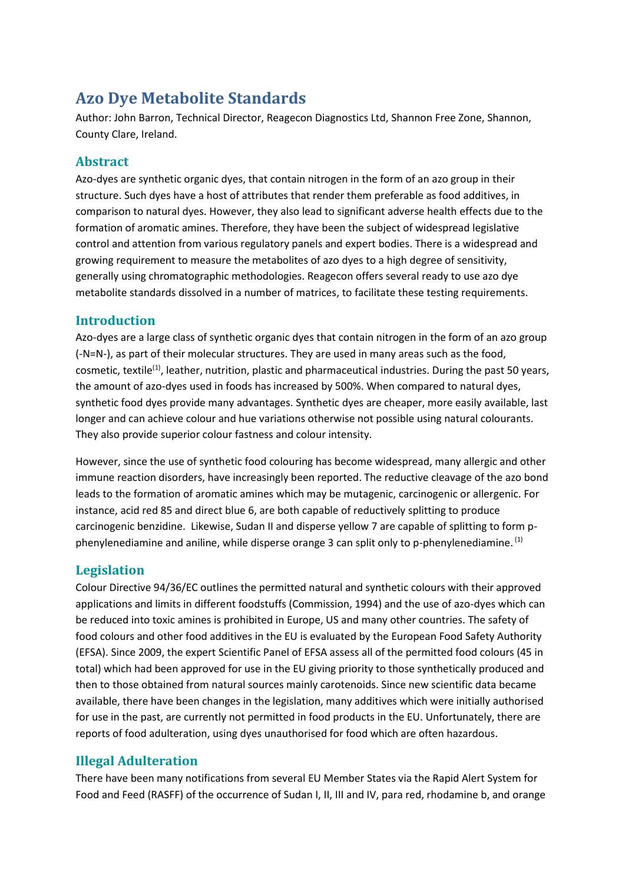# **Azo Dye Metabolite Standards**

Author: John Barron, Technical Director, Reagecon Diagnostics Ltd, Shannon Free Zone, Shannon, County Clare, Ireland.

### **Abstract**

Azo-dyes are synthetic organic dyes, that contain nitrogen in the form of an azo group in their structure. Such dyes have a host of attributes that render them preferable as food additives, in comparison to natural dyes. However, they also lead to significant adverse health effects due to the formation of aromatic amines. Therefore, they have been the subject of widespread legislative control and attention from various regulatory panels and expert bodies. There is a widespread and growing requirement to measure the metabolites of azo dyes to a high degree of sensitivity, generally using chromatographic methodologies. Reagecon offers several ready to use azo dye metabolite standards dissolved in a number of matrices, to facilitate these testing requirements.

## **Introduction**

Azo-dyes are a large class of synthetic organic dyes that contain nitrogen in the form of an azo group (-N=N-), as part of their molecular structures. They are used in many areas such as the food, cosmetic, textile<sup>(1)</sup>, leather, nutrition, plastic and pharmaceutical industries. During the past 50 years, the amount of azo-dyes used in foods has increased by 500%. When compared to natural dyes, synthetic food dyes provide many advantages. Synthetic dyes are cheaper, more easily available, last longer and can achieve colour and hue variations otherwise not possible using natural colourants. They also provide superior colour fastness and colour intensity.

However, since the use of synthetic food colouring has become widespread, many allergic and other immune reaction disorders, have increasingly been reported. The reductive cleavage of the azo bond leads to the formation of aromatic amines which may be mutagenic, carcinogenic or allergenic. For instance, acid red 85 and direct blue 6, are both capable of reductively splitting to produce carcinogenic benzidine. Likewise, Sudan II and disperse yellow 7 are capable of splitting to form pphenylenediamine and aniline, while disperse orange 3 can split only to p-phenylenediamine. <sup>(1)</sup>

## **Legislation**

Colour Directive 94/36/EC outlines the permitted natural and synthetic colours with their approved applications and limits in different foodstuffs (Commission, 1994) and the use of azo-dyes which can be reduced into toxic amines is prohibited in Europe, US and many other countries. The safety of food colours and other food additives in the EU is evaluated by the European Food Safety Authority (EFSA). Since 2009, the expert Scientific Panel of EFSA assess all of the permitted food colours (45 in total) which had been approved for use in the EU giving priority to those synthetically produced and then to those obtained from natural sources mainly carotenoids. Since new scientific data became available, there have been changes in the legislation, many additives which were initially authorised for use in the past, are currently not permitted in food products in the EU. Unfortunately, there are reports of food adulteration, using dyes unauthorised for food which are often hazardous.

## **Illegal Adulteration**

There have been many notifications from several EU Member States via the Rapid Alert System for Food and Feed (RASFF) of the occurrence of Sudan I, II, III and IV, para red, rhodamine b, and orange